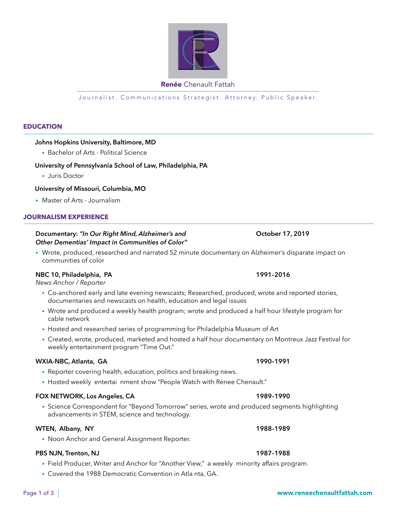### • Science Correspondent for "Beyond Tomorrow" series, wrote and produced segments highlighting advancements in STEM, science and technology.

• Noon Anchor and General Assignment Reporter.

# **PBS NJN, Trenton, NJ 1987–1988**

- Field Producer, Writer and Anchor for "Another View," a weekly minority affairs program.
- Covered the 1988 Democratic Convention in Atla nta, GA.

## Renée Chenault Fattah

Journalist. Communications Strategist. Attorney. Public Speaker.

### **EDUCATION**

# **Johns Hopkins University, Baltimore, MD**

• Bachelor of Arts - Political Science

# **University of Pennsylvania School of Law, Philadelphia, PA**

• Juris Doctor

# **University of Missouri, Columbia, MO**

• Master of Arts - Journalism

# **JOURNALISM Experience**

# **Documentary:** *"In Our Right Mind, Alzheimer's and* **<b>Canadian Contract Contract Print** October 17, 2019 *Other Dementias' Impact in Communities of Color"*

• Wrote, produced, researched and narrated 52 minute documentary on Alzheimer's disparate impact on communities of color

# **NBC 10, Philadelphia, PA 1991–2016**

*News Anchor / Reporter*

- Co-anchored early and late evening newscasts; Researched, produced, wrote and reported stories, documentaries and newscasts on health, education and legal issues
- Wrote and produced a weekly health program; wrote and produced a half hour lifestyle program for cable network
- Hosted and researched series of programming for Philadelphia Museum of Art
- Created, wrote, produced, marketed and hosted a half hour documentary on Montreux Jazz Festival for weekly entertainment program "Time Out."

### **WXIA-NBC, Atlanta, GA 1990–1991**

- Reporter covering health, education, politics and breaking news.
- Hosted weekly entertai nment show "People Watch with Renee Chenault."

# **FOX NETWORK, Los Angeles, CA 1989–1990**

# **WTEN, Albany, NY 1988–1989**

Page 1 of 3



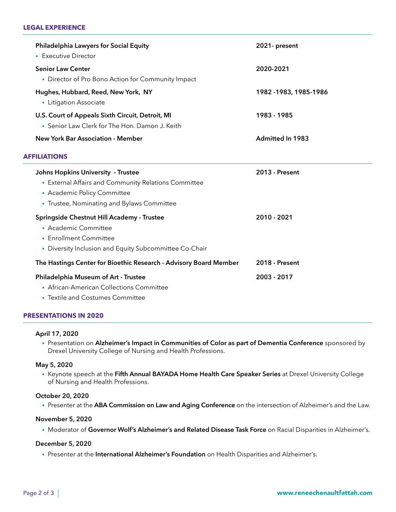### **Legal Experience**

| Philadelphia Lawyers for Social Equity<br>• Executive Director                                                                                                          | 2021- present           |
|-------------------------------------------------------------------------------------------------------------------------------------------------------------------------|-------------------------|
| <b>Senior Law Center</b><br>• Director of Pro Bono Action for Community Impact                                                                                          | 2020-2021               |
| Hughes, Hubbard, Reed, New York, NY<br>• Litigation Associate                                                                                                           | 1982 -1983, 1985-1986   |
| U.S. Court of Appeals Sixth Circuit, Detroit, MI<br>• Senior Law Clerk for The Hon. Damon J. Keith                                                                      | 1983 - 1985             |
| <b>New York Bar Association - Member</b>                                                                                                                                | <b>Admitted In 1983</b> |
| <b>AFFILIATIONS</b>                                                                                                                                                     |                         |
| Johns Hopkins University - Trustee<br>• External Affairs and Community Relations Committee<br>• Academic Policy Committee<br>• Trustee, Nominating and Bylaws Committee | <b>2013 - Present</b>   |
| Springside Chestnut Hill Academy - Trustee<br>• Academic Committee<br>• Enrollment Committee<br>• Diversity Inclusion and Equity Subcommittee Co-Chair                  | 2010 - 2021             |
| The Hastings Center for Bioethic Research - Advisory Board Member                                                                                                       | 2018 - Present          |
| Philadelphia Museum of Art - Trustee<br>• African-American Collections Committee<br>• Textile and Costumes Committee                                                    | 2003 - 2017             |

### **Presentations in 2020**

### **April 17, 2020**

• Presentation on **Alzheimer's Impact in Communities of Color as part of Dementia Conference** sponsored by Drexel University College of Nursing and Health Professions.

### **May 5, 2020**

• Keynote speech at the **Fifth Annual BAYADA Home Health Care Speaker Series** at Drexel University College of Nursing and Health Professions.

### **October 20, 2020**

• Presenter at the **ABA Commission on Law and Aging Conference** on the intersection of Alzheimer's and the Law.

### **November 5, 2020**

• Moderator of **Governor Wolf's Alzheimer's and Related Disease Task Force** on Racial Disparities in Alzheimer's.

### **December 5, 2020**

• Presenter at the **International Alzheimer's Foundation** on Health Disparities and Alzheimer's.